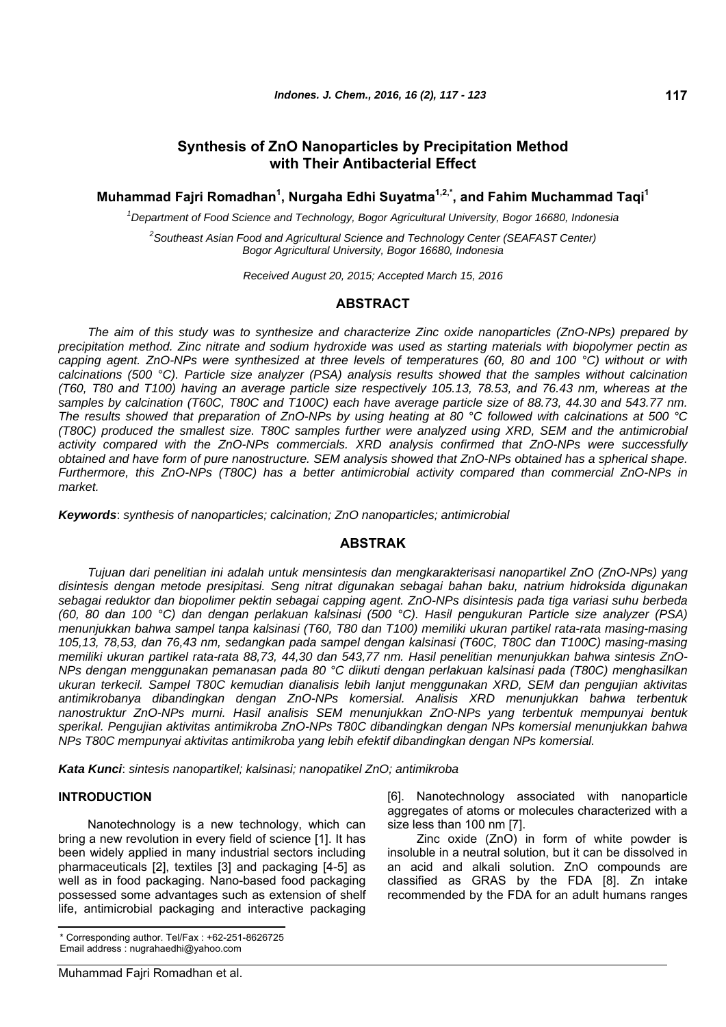# **Synthesis of ZnO Nanoparticles by Precipitation Method with Their Antibacterial Effect**

**Muhammad Fajri Romadhan<sup>1</sup> , Nurgaha Edhi Suyatma1,2,\*, and Fahim Muchammad Taqi1**

*1 Department of Food Science and Technology, Bogor Agricultural University, Bogor 16680, Indonesia* 

*2 Southeast Asian Food and Agricultural Science and Technology Center (SEAFAST Center) Bogor Agricultural University, Bogor 16680, Indonesia* 

*Received August 20, 2015; Accepted March 15, 2016* 

## **ABSTRACT**

*The aim of this study was to synthesize and characterize Zinc oxide nanoparticles (ZnO-NPs) prepared by precipitation method. Zinc nitrate and sodium hydroxide was used as starting materials with biopolymer pectin as capping agent. ZnO-NPs were synthesized at three levels of temperatures (60, 80 and 100 °C) without or with calcinations (500 °C). Particle size analyzer (PSA) analysis results showed that the samples without calcination (T60, T80 and T100) having an average particle size respectively 105.13, 78.53, and 76.43 nm, whereas at the samples by calcination (T60C, T80C and T100C) each have average particle size of 88.73, 44.30 and 543.77 nm. The results showed that preparation of ZnO-NPs by using heating at 80 °C followed with calcinations at 500 °C (T80C) produced the smallest size. T80C samples further were analyzed using XRD, SEM and the antimicrobial activity compared with the ZnO-NPs commercials. XRD analysis confirmed that ZnO-NPs were successfully obtained and have form of pure nanostructure. SEM analysis showed that ZnO-NPs obtained has a spherical shape. Furthermore, this ZnO-NPs (T80C) has a better antimicrobial activity compared than commercial ZnO-NPs in market.* 

*Keywords*: *synthesis of nanoparticles; calcination; ZnO nanoparticles; antimicrobial*

## **ABSTRAK**

*Tujuan dari penelitian ini adalah untuk mensintesis dan mengkarakterisasi nanopartikel ZnO (ZnO-NPs) yang disintesis dengan metode presipitasi. Seng nitrat digunakan sebagai bahan baku, natrium hidroksida digunakan sebagai reduktor dan biopolimer pektin sebagai capping agent. ZnO-NPs disintesis pada tiga variasi suhu berbeda (60, 80 dan 100 °C) dan dengan perlakuan kalsinasi (500 °C). Hasil pengukuran Particle size analyzer (PSA) menunjukkan bahwa sampel tanpa kalsinasi (T60, T80 dan T100) memiliki ukuran partikel rata-rata masing-masing 105,13, 78,53, dan 76,43 nm, sedangkan pada sampel dengan kalsinasi (T60C, T80C dan T100C) masing-masing memiliki ukuran partikel rata-rata 88,73, 44,30 dan 543,77 nm. Hasil penelitian menunjukkan bahwa sintesis ZnO-NPs dengan menggunakan pemanasan pada 80 °C diikuti dengan perlakuan kalsinasi pada (T80C) menghasilkan ukuran terkecil. Sampel T80C kemudian dianalisis lebih lanjut menggunakan XRD, SEM dan pengujian aktivitas antimikrobanya dibandingkan dengan ZnO-NPs komersial. Analisis XRD menunjukkan bahwa terbentuk nanostruktur ZnO-NPs murni. Hasil analisis SEM menunjukkan ZnO-NPs yang terbentuk mempunyai bentuk sperikal. Pengujian aktivitas antimikroba ZnO-NPs T80C dibandingkan dengan NPs komersial menunjukkan bahwa NPs T80C mempunyai aktivitas antimikroba yang lebih efektif dibandingkan dengan NPs komersial.* 

*Kata Kunci*: *sintesis nanopartikel; kalsinasi; nanopatikel ZnO; antimikroba*

### **INTRODUCTION**

Nanotechnology is a new technology, which can bring a new revolution in every field of science [1]. It has been widely applied in many industrial sectors including pharmaceuticals [2], textiles [3] and packaging [4-5] as well as in food packaging. Nano-based food packaging possessed some advantages such as extension of shelf life, antimicrobial packaging and interactive packaging

\* Corresponding author. Tel/Fax : +62-251-8626725 Email address : [nugrahaedhi@yahoo.com](mailto:nugrahaedhi@yahoo.com)

[6]. Nanotechnology associated with nanoparticle aggregates of atoms or molecules characterized with a size less than 100 nm [7].

Zinc oxide (ZnO) in form of white powder is insoluble in a neutral solution, but it can be dissolved in an acid and alkali solution. ZnO compounds are classified as GRAS by the FDA [8]. Zn intake recommended by the FDA for an adult humans ranges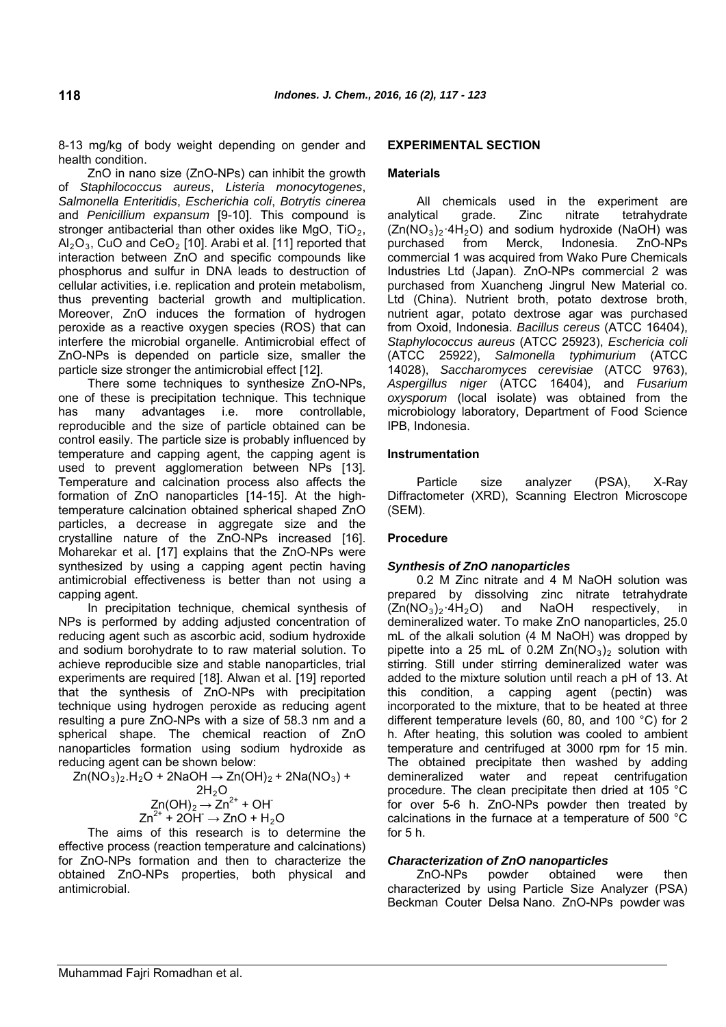8-13 mg/kg of body weight depending on gender and health condition.

ZnO in nano size (ZnO-NPs) can inhibit the growth of *Staphilococcus aureus*, *Listeria monocytogenes*, *Salmonella Enteritidis*, *Escherichia coli*, *Botrytis cinerea* and *Penicillium expansum* [9-10]. This compound is stronger antibacterial than other oxides like MgO,  $TiO<sub>2</sub>$ ,  $Al_2O_3$ , CuO and CeO<sub>2</sub> [10]. Arabi et al. [11] reported that interaction between ZnO and specific compounds like phosphorus and sulfur in DNA leads to destruction of cellular activities, i.e. replication and protein metabolism, thus preventing bacterial growth and multiplication. Moreover, ZnO induces the formation of hydrogen peroxide as a reactive oxygen species (ROS) that can interfere the microbial organelle. Antimicrobial effect of ZnO-NPs is depended on particle size, smaller the particle size stronger the antimicrobial effect [12].

There some techniques to synthesize ZnO-NPs, one of these is precipitation technique. This technique has many advantages i.e. more controllable, reproducible and the size of particle obtained can be control easily. The particle size is probably influenced by temperature and capping agent, the capping agent is used to prevent agglomeration between NPs [13]. Temperature and calcination process also affects the formation of ZnO nanoparticles [14-15]. At the hightemperature calcination obtained spherical shaped ZnO particles, a decrease in aggregate size and the crystalline nature of the ZnO-NPs increased [16]. Moharekar et al. [17] explains that the ZnO-NPs were synthesized by using a capping agent pectin having antimicrobial effectiveness is better than not using a capping agent.

In precipitation technique, chemical synthesis of NPs is performed by adding adjusted concentration of reducing agent such as ascorbic acid, sodium hydroxide and sodium borohydrate to to raw material solution. To achieve reproducible size and stable nanoparticles, trial experiments are required [18]. Alwan et al. [19] reported that the synthesis of ZnO-NPs with precipitation technique using hydrogen peroxide as reducing agent resulting a pure ZnO-NPs with a size of 58.3 nm and a spherical shape. The chemical reaction of ZnO nanoparticles formation using sodium hydroxide as reducing agent can be shown below:

 $Zn(NO<sub>3</sub>)<sub>2</sub>$ .H<sub>2</sub>O + 2NaOH  $\rightarrow$  Zn(OH)<sub>2</sub> + 2Na(NO<sub>3</sub>) +  $2H<sub>2</sub>O$  $Zn(OH)_2 \rightarrow Zn^{2+} + OH^ Zn^{2+}$  + 2OH<sup>-</sup>  $\rightarrow$  ZnO + H<sub>2</sub>O

The aims of this research is to determine the effective process (reaction temperature and calcinations) for ZnO-NPs formation and then to characterize the obtained ZnO-NPs properties, both physical and antimicrobial.

### **EXPERIMENTAL SECTION**

### **Materials**

All chemicals used in the experiment are analytical grade. Zinc nitrate tetrahydrate  $(Zn(NO<sub>3</sub>)<sub>2</sub>·4H<sub>2</sub>O)$  and sodium hydroxide (NaOH) was purchased from Merck, Indonesia. ZnO-NPs commercial 1 was acquired from Wako Pure Chemicals Industries Ltd (Japan). ZnO-NPs commercial 2 was purchased from Xuancheng Jingrul New Material co. Ltd (China). Nutrient broth, potato dextrose broth, nutrient agar, potato dextrose agar was purchased from Oxoid, Indonesia. *Bacillus cereus* (ATCC 16404), *Staphylococcus aureus* (ATCC 25923), *Eschericia coli* (ATCC 25922), *Salmonella typhimurium* (ATCC 14028), *Saccharomyces cerevisiae* (ATCC 9763), *Aspergillus niger* (ATCC 16404), and *Fusarium oxysporum* (local isolate) was obtained from the microbiology laboratory, Department of Food Science IPB, Indonesia.

#### **Instrumentation**

Particle size analyzer (PSA), X-Ray Diffractometer (XRD), Scanning Electron Microscope (SEM).

#### **Procedure**

#### *Synthesis of ZnO nanoparticles*

0.2 M Zinc nitrate and 4 M NaOH solution was prepared by dissolving zinc nitrate tetrahydrate  $(Zn(NO<sub>3</sub>)<sub>2</sub>·4H<sub>2</sub>O)$  and NaOH respectively, in demineralized water. To make ZnO nanoparticles, 25.0 mL of the alkali solution (4 M NaOH) was dropped by pipette into a 25 mL of  $0.2M Zn(NO<sub>3</sub>)<sub>2</sub>$  solution with stirring. Still under stirring demineralized water was added to the mixture solution until reach a pH of 13. At this condition, a capping agent (pectin) was incorporated to the mixture, that to be heated at three different temperature levels (60, 80, and 100 °C) for 2 h. After heating, this solution was cooled to ambient temperature and centrifuged at 3000 rpm for 15 min. The obtained precipitate then washed by adding demineralized water and repeat centrifugation procedure. The clean precipitate then dried at 105 °C for over 5-6 h. ZnO-NPs powder then treated by calcinations in the furnace at a temperature of 500 °C for 5 h.

#### *Characterization of ZnO nanoparticles*

ZnO-NPs powder obtained were then characterized by using Particle Size Analyzer (PSA) Beckman Couter Delsa Nano. ZnO-NPs powder was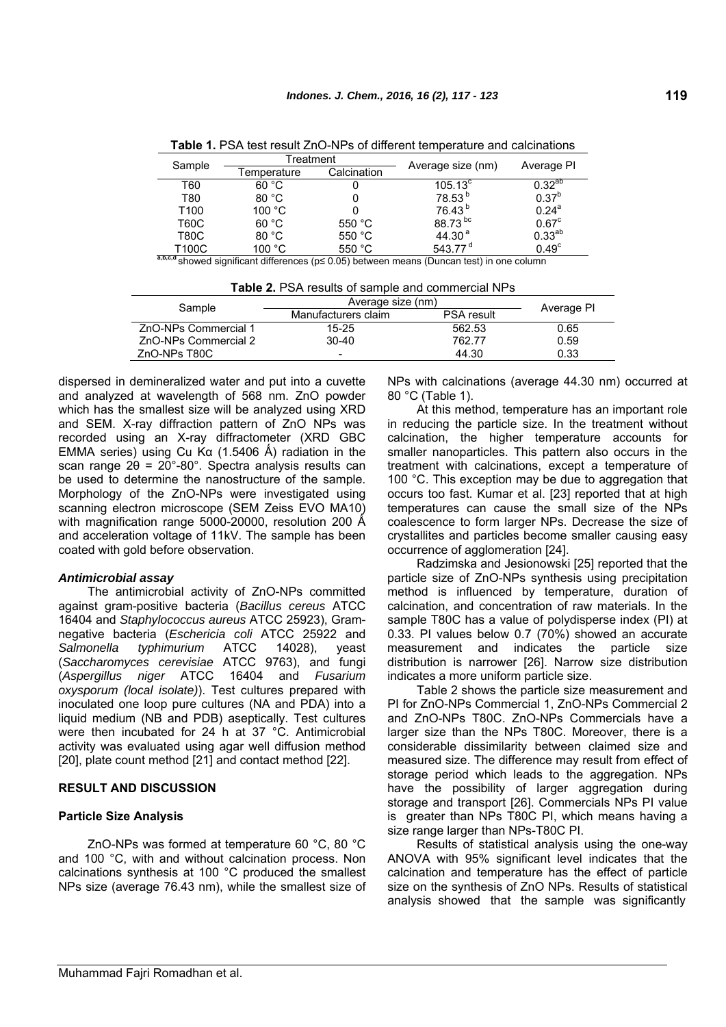| Sample | Гreatment                  |          |                     | Average PI     |
|--------|----------------------------|----------|---------------------|----------------|
|        | Calcination<br>Γemperature |          | Average size (nm)   |                |
| T60    | 60 °C                      |          | $105.13^{\circ}$    | $0.32^{ab}$    |
| T80    | 80 °C                      |          | 78.53 <sup>b</sup>  | $0.37^{b}$     |
| T100   | 100 °C                     |          | 76.43 <sup>b</sup>  | $0.24^a$       |
| T60C   | 60 °C                      | 550 $°C$ | 88.73 bc            | $0.67^{\circ}$ |
| T80C   | 80 °C                      | 550 $°C$ | 44.30 <sup>a</sup>  | $0.33^{ab}$    |
| T100C  | 100 $\degree$ C            | 550 $°C$ | 543.77 <sup>d</sup> | $0.49^\circ$   |

**Table 1.** PSA test result ZnO-NPs of different temperature and calcinations

**a,b,c,d** showed significant differences (p≤ 0.05) between means (Duncan test) in one column

| <b>Table 2.</b> PSA results of sample and commercial NPs |                     |                   |      |  |  |  |
|----------------------------------------------------------|---------------------|-------------------|------|--|--|--|
| Sample                                                   | Average size (nm)   | Average PI        |      |  |  |  |
|                                                          | Manufacturers claim | <b>PSA result</b> |      |  |  |  |
| ZnO-NPs Commercial 1                                     | $15 - 25$           | 562.53            | 0.65 |  |  |  |
| ZnO-NPs Commercial 2                                     | $30 - 40$           | 762.77            | 0.59 |  |  |  |
| ZnO-NPs T80C                                             | -                   | 44.30             | 0.33 |  |  |  |

dispersed in demineralized water and put into a cuvette and analyzed at wavelength of 568 nm. ZnO powder which has the smallest size will be analyzed using XRD and SEM. X-ray diffraction pattern of ZnO NPs was recorded using an X-ray diffractometer (XRD GBC EMMA series) using Cu Kα (1.5406 Å) radiation in the scan range  $2\theta = 20^{\circ}$ -80°. Spectra analysis results can be used to determine the nanostructure of the sample. Morphology of the ZnO-NPs were investigated using scanning electron microscope (SEM Zeiss EVO MA10) with magnification range 5000-20000, resolution 200  $\AA$ and acceleration voltage of 11kV. The sample has been coated with gold before observation.

## *Antimicrobial assay*

The antimicrobial activity of ZnO-NPs committed against gram-positive bacteria (*Bacillus cereus* ATCC 16404 and *Staphylococcus aureus* ATCC 25923), Gramnegative bacteria (*Eschericia coli* ATCC 25922 and *Salmonella typhimurium* ATCC 14028), yeast (*Saccharomyces cerevisiae* ATCC 9763), and fungi (*Aspergillus niger* ATCC 16404 and *Fusarium oxysporum (local isolate)*). Test cultures prepared with inoculated one loop pure cultures (NA and PDA) into a liquid medium (NB and PDB) aseptically. Test cultures were then incubated for 24 h at 37 °C. Antimicrobial activity was evaluated using agar well diffusion method [20], plate count method [21] and contact method [22].

## **RESULT AND DISCUSSION**

## **Particle Size Analysis**

ZnO-NPs was formed at temperature 60 °C, 80 °C and 100 °C, with and without calcination process. Non calcinations synthesis at 100 °C produced the smallest NPs size (average 76.43 nm), while the smallest size of NPs with calcinations (average 44.30 nm) occurred at 80 °C (Table 1).

At this method, temperature has an important role in reducing the particle size. In the treatment without calcination, the higher temperature accounts for smaller nanoparticles. This pattern also occurs in the treatment with calcinations, except a temperature of 100 °C. This exception may be due to aggregation that occurs too fast. Kumar et al. [23] reported that at high temperatures can cause the small size of the NPs coalescence to form larger NPs. Decrease the size of crystallites and particles become smaller causing easy occurrence of agglomeration [24].

Radzimska and Jesionowski [25] reported that the particle size of ZnO-NPs synthesis using precipitation method is influenced by temperature, duration of calcination, and concentration of raw materials. In the sample T80C has a value of polydisperse index (PI) at 0.33. PI values below 0.7 (70%) showed an accurate measurement and indicates the particle size distribution is narrower [26]. Narrow size distribution indicates a more uniform particle size.

Table 2 shows the particle size measurement and PI for ZnO-NPs Commercial 1, ZnO-NPs Commercial 2 and ZnO-NPs T80C. ZnO-NPs Commercials have a larger size than the NPs T80C. Moreover, there is a considerable dissimilarity between claimed size and measured size. The difference may result from effect of storage period which leads to the aggregation. NPs have the possibility of larger aggregation during storage and transport [26]. Commercials NPs PI value is greater than NPs T80C PI, which means having a size range larger than NPs-T80C PI.

Results of statistical analysis using the one-way ANOVA with 95% significant level indicates that the calcination and temperature has the effect of particle size on the synthesis of ZnO NPs. Results of statistical analysis showed that the sample was significantly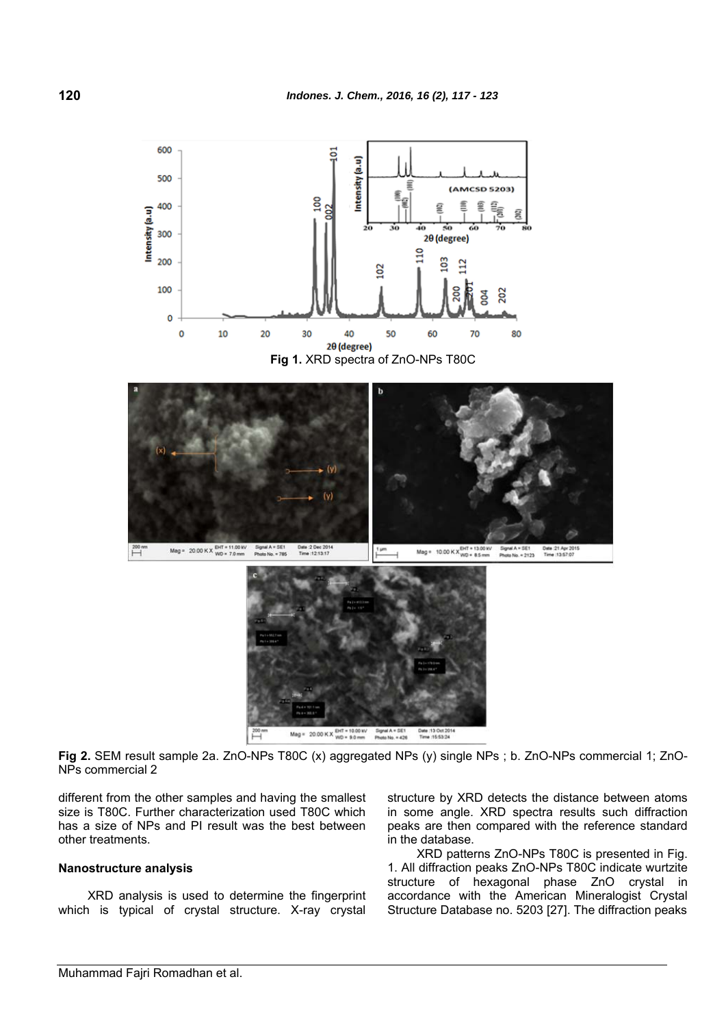

**Fig 2.** SEM result sample 2a. ZnO-NPs T80C (x) aggregated NPs (y) single NPs ; b. ZnO-NPs commercial 1; ZnO-NPs commercial 2

different from the other samples and having the smallest size is T80C. Further characterization used T80C which has a size of NPs and PI result was the best between other treatments.

#### **Nanostructure analysis**

XRD analysis is used to determine the fingerprint which is typical of crystal structure. X-ray crystal structure by XRD detects the distance between atoms in some angle. XRD spectra results such diffraction peaks are then compared with the reference standard in the database.

XRD patterns ZnO-NPs T80C is presented in Fig. 1. All diffraction peaks ZnO-NPs T80C indicate wurtzite structure of hexagonal phase ZnO crystal in accordance with the American Mineralogist Crystal Structure Database no. 5203 [27]. The diffraction peaks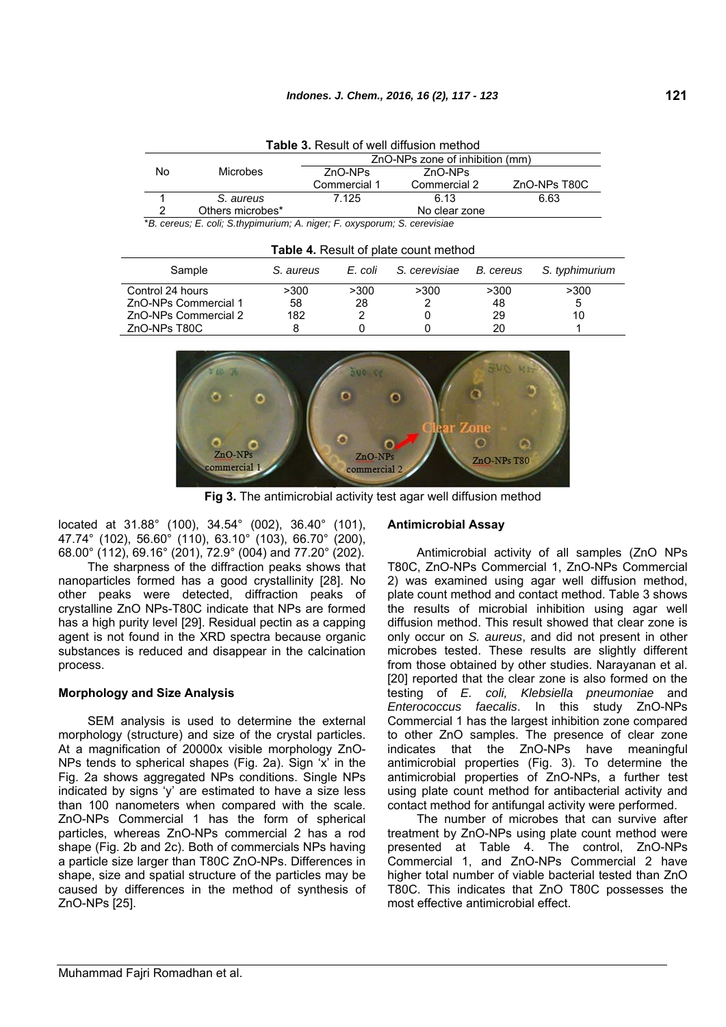| T <b>able</b> 3. Result of well diffusion method                                                                                                                                                                                           |                  |                                 |               |              |  |
|--------------------------------------------------------------------------------------------------------------------------------------------------------------------------------------------------------------------------------------------|------------------|---------------------------------|---------------|--------------|--|
|                                                                                                                                                                                                                                            |                  | ZnO-NPs zone of inhibition (mm) |               |              |  |
| No                                                                                                                                                                                                                                         | <b>Microbes</b>  | ZnO-NPs                         | ZnO-NPs       |              |  |
|                                                                                                                                                                                                                                            |                  | Commercial 1                    | Commercial 2  | ZnO-NPs T80C |  |
|                                                                                                                                                                                                                                            | S. aureus        | 7.125                           | 6.13          | 6.63         |  |
|                                                                                                                                                                                                                                            | Others microbes* |                                 | No clear zone |              |  |
| $*$ Description $\Gamma$ and $\Gamma$ . Only in the internal continuous $\Gamma$ is a consequence of the second of a substantial control of the second of the second of the second of the second of the second of the second of the second |                  |                                 |               |              |  |

**Table 3.** Result of well diffusion method

\**B. cereus; E. coli; S.thypimurium; A. niger; F. oxysporum; S. cerevisiae*

| Sample               | S. aureus | E. coli | S. cerevisiae | B. cereus | S. typhimurium |
|----------------------|-----------|---------|---------------|-----------|----------------|
| Control 24 hours     | >300      | >300    | >300          | >300      | >300           |
| ZnO-NPs Commercial 1 | 58        | 28      |               | 48        | 5              |
| ZnO-NPs Commercial 2 | 182       |         |               | 29        | 10             |
| ZnO-NPs T80C         |           |         |               | 20        |                |



**Fig 3.** The antimicrobial activity test agar well diffusion method

located at 31.88° (100), 34.54° (002), 36.40° (101), 47.74° (102), 56.60° (110), 63.10° (103), 66.70° (200), 68.00° (112), 69.16° (201), 72.9° (004) and 77.20° (202).

The sharpness of the diffraction peaks shows that nanoparticles formed has a good crystallinity [28]. No other peaks were detected, diffraction peaks of crystalline ZnO NPs-T80C indicate that NPs are formed has a high purity level [29]. Residual pectin as a capping agent is not found in the XRD spectra because organic substances is reduced and disappear in the calcination process.

### **Morphology and Size Analysis**

SEM analysis is used to determine the external morphology (structure) and size of the crystal particles. At a magnification of 20000x visible morphology ZnO-NPs tends to spherical shapes (Fig. 2a). Sign 'x' in the Fig. 2a shows aggregated NPs conditions. Single NPs indicated by signs 'y' are estimated to have a size less than 100 nanometers when compared with the scale. ZnO-NPs Commercial 1 has the form of spherical particles, whereas ZnO-NPs commercial 2 has a rod shape (Fig. 2b and 2c). Both of commercials NPs having a particle size larger than T80C ZnO-NPs. Differences in shape, size and spatial structure of the particles may be caused by differences in the method of synthesis of ZnO-NPs [25].

#### **Antimicrobial Assay**

Antimicrobial activity of all samples (ZnO NPs T80C, ZnO-NPs Commercial 1, ZnO-NPs Commercial 2) was examined using agar well diffusion method, plate count method and contact method. Table 3 shows the results of microbial inhibition using agar well diffusion method. This result showed that clear zone is only occur on *S. aureus*, and did not present in other microbes tested. These results are slightly different from those obtained by other studies. Narayanan et al. [20] reported that the clear zone is also formed on the testing of *E. coli, Klebsiella pneumoniae* and *Enterococcus faecalis*. In this study ZnO-NPs Commercial 1 has the largest inhibition zone compared to other ZnO samples. The presence of clear zone indicates that the ZnO-NPs have meaningful antimicrobial properties (Fig. 3). To determine the antimicrobial properties of ZnO-NPs, a further test using plate count method for antibacterial activity and contact method for antifungal activity were performed.

The number of microbes that can survive after treatment by ZnO-NPs using plate count method were presented at Table 4. The control, ZnO-NPs Commercial 1, and ZnO-NPs Commercial 2 have higher total number of viable bacterial tested than ZnO T80C. This indicates that ZnO T80C possesses the most effective antimicrobial effect.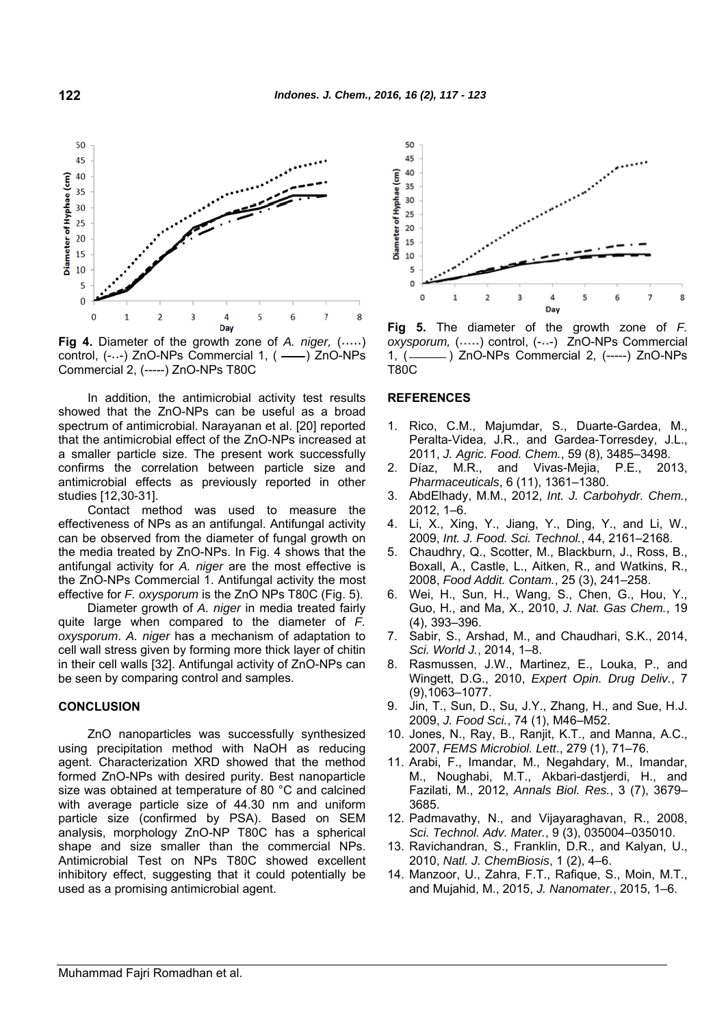

**Fig 4.** Diameter of the growth zone of *A. niger.* (.....) control, (-..-) ZnO-NPs Commercial 1, ( ---- ) ZnO-NPs Commercial 2, (-----) ZnO-NPs T80C

In addition, the antimicrobial activity test results showed that the ZnO-NPs can be useful as a broad spectrum of antimicrobial. Narayanan et al. [20] reported that the antimicrobial effect of the ZnO-NPs increased at a smaller particle size. The present work successfully confirms the correlation between particle size and antimicrobial effects as previously reported in other studies [12,30-31].

Contact method was used to measure the effectiveness of NPs as an antifungal. Antifungal activity can be observed from the diameter of fungal growth on the media treated by ZnO-NPs. In Fig. 4 shows that the antifungal activity for *A. niger* are the most effective is the ZnO-NPs Commercial 1. Antifungal activity the most effective for *F. oxysporum* is the ZnO NPs T80C (Fig. 5).

Diameter growth of *A. niger* in media treated fairly quite large when compared to the diameter of *F. oxysporum*. *A. niger* has a mechanism of adaptation to cell wall stress given by forming more thick layer of chitin in their cell walls [32]. Antifungal activity of ZnO-NPs can be seen by comparing control and samples.

#### **CONCLUSION**

ZnO nanoparticles was successfully synthesized using precipitation method with NaOH as reducing agent. Characterization XRD showed that the method formed ZnO-NPs with desired purity. Best nanoparticle size was obtained at temperature of 80 °C and calcined with average particle size of 44.30 nm and uniform particle size (confirmed by PSA). Based on SEM analysis, morphology ZnO-NP T80C has a spherical shape and size smaller than the commercial NPs. Antimicrobial Test on NPs T80C showed excellent inhibitory effect, suggesting that it could potentially be used as a promising antimicrobial agent.



**Fig 5.** The diameter of the growth zone of *F. oxysporum,* (˖˖˖˖˖) control, (-˖˖-) ZnO-NPs Commercial 1, (- ) ZnO-NPs Commercial 2, (-----) ZnO-NPs T80C

#### **REFERENCES**

- 1. Rico, C.M., Majumdar, S., Duarte-Gardea, M., Peralta-Videa, J.R., and Gardea-Torresdey, J.L., 2011, *J. Agric. Food. Chem.*, 59 (8), 3485–3498.
- 2. Díaz, M.R., and Vivas-Mejia, P.E., 2013, *Pharmaceuticals*, 6 (11), 1361–1380.
- 3. AbdElhady, M.M., 2012, *Int. J. Carbohydr. Chem.*, 2012, 1–6.
- 4. Li, X., Xing, Y., Jiang, Y., Ding, Y., and Li, W., 2009, *Int. J. Food. Sci. Technol.*, 44, 2161–2168.
- 5. Chaudhry, Q., Scotter, M., Blackburn, J., Ross, B., Boxall, A., Castle, L., Aitken, R., and Watkins, R., 2008, *Food Addit. Contam.*, 25 (3), 241–258.
- 6. Wei, H., Sun, H., Wang, S., Chen, G., Hou, Y., Guo, H., and Ma, X., 2010, *J. Nat. Gas Chem.*, 19 (4), 393–396.
- 7. Sabir, S., Arshad, M., and Chaudhari, S.K., 2014, *Sci. World J.*, 2014, 1–8.
- 8. Rasmussen, J.W., Martinez, E., Louka, P., and Wingett, D.G., 2010, *Expert Opin. Drug Deliv.*, 7 (9),1063–1077.
- 9. Jin, T., Sun, D., Su, J.Y., Zhang, H., and Sue, H.J. 2009, *J. Food Sci.*, 74 (1), M46–M52.
- 10. Jones, N., Ray, B., Ranjit, K.T., and Manna, A.C., 2007, *FEMS Microbiol. Lett*., 279 (1), 71–76.
- 11. Arabi, F., Imandar, M., Negahdary, M., Imandar, M., Noughabi, M.T., Akbari-dastjerdi, H., and Fazilati, M., 2012, *Annals Biol. Res.*, 3 (7), 3679– 3685.
- 12. Padmavathy, N., and Vijayaraghavan, R., 2008, *Sci. Technol. Adv. Mater.*, 9 (3), 035004–035010.
- 13. Ravichandran, S., Franklin, D.R., and Kalyan, U., 2010, *Natl. J. ChemBiosis*, 1 (2), 4–6.
- 14. Manzoor, U., Zahra, F.T., Rafique, S., Moin, M.T., and Mujahid, M., 2015, *J. Nanomater.*, 2015, 1–6.